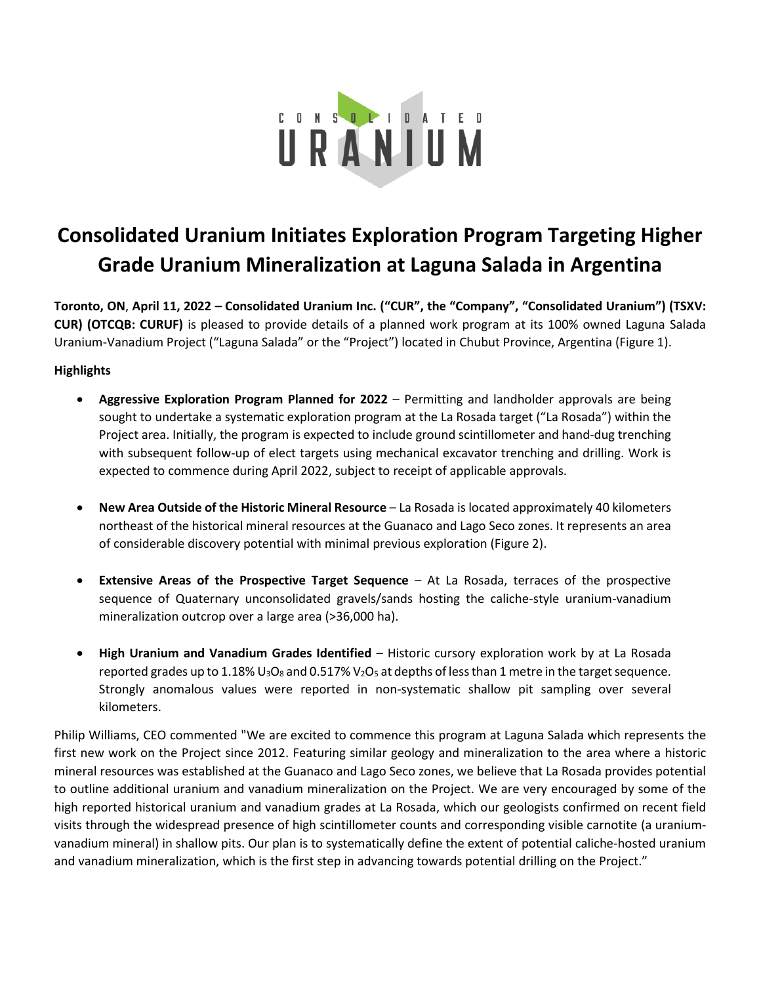

# **Consolidated Uranium Initiates Exploration Program Targeting Higher Grade Uranium Mineralization at Laguna Salada in Argentina**

**Toronto, ON**, **April 11, 2022 – Consolidated Uranium Inc. ("CUR", the "Company", "Consolidated Uranium") (TSXV: CUR) (OTCQB: CURUF)** is pleased to provide details of a planned work program at its 100% owned Laguna Salada Uranium-Vanadium Project ("Laguna Salada" or the "Project") located in Chubut Province, Argentina (Figure 1).

## **Highlights**

- **Aggressive Exploration Program Planned for 2022** Permitting and landholder approvals are being sought to undertake a systematic exploration program at the La Rosada target ("La Rosada") within the Project area. Initially, the program is expected to include ground scintillometer and hand-dug trenching with subsequent follow-up of elect targets using mechanical excavator trenching and drilling. Work is expected to commence during April 2022, subject to receipt of applicable approvals.
- **New Area Outside of the Historic Mineral Resource** La Rosada is located approximately 40 kilometers northeast of the historical mineral resources at the Guanaco and Lago Seco zones. It represents an area of considerable discovery potential with minimal previous exploration (Figure 2).
- **Extensive Areas of the Prospective Target Sequence** At La Rosada, terraces of the prospective sequence of Quaternary unconsolidated gravels/sands hosting the caliche-style uranium-vanadium mineralization outcrop over a large area (>36,000 ha).
- **High Uranium and Vanadium Grades Identified**  Historic cursory exploration work by at La Rosada reported grades up to 1.18%  $U_3O_8$  and 0.517%  $V_2O_5$  at depths of less than 1 metre in the target sequence. Strongly anomalous values were reported in non-systematic shallow pit sampling over several kilometers.

Philip Williams, CEO commented "We are excited to commence this program at Laguna Salada which represents the first new work on the Project since 2012. Featuring similar geology and mineralization to the area where a historic mineral resources was established at the Guanaco and Lago Seco zones, we believe that La Rosada provides potential to outline additional uranium and vanadium mineralization on the Project. We are very encouraged by some of the high reported historical uranium and vanadium grades at La Rosada, which our geologists confirmed on recent field visits through the widespread presence of high scintillometer counts and corresponding visible carnotite (a uraniumvanadium mineral) in shallow pits. Our plan is to systematically define the extent of potential caliche-hosted uranium and vanadium mineralization, which is the first step in advancing towards potential drilling on the Project."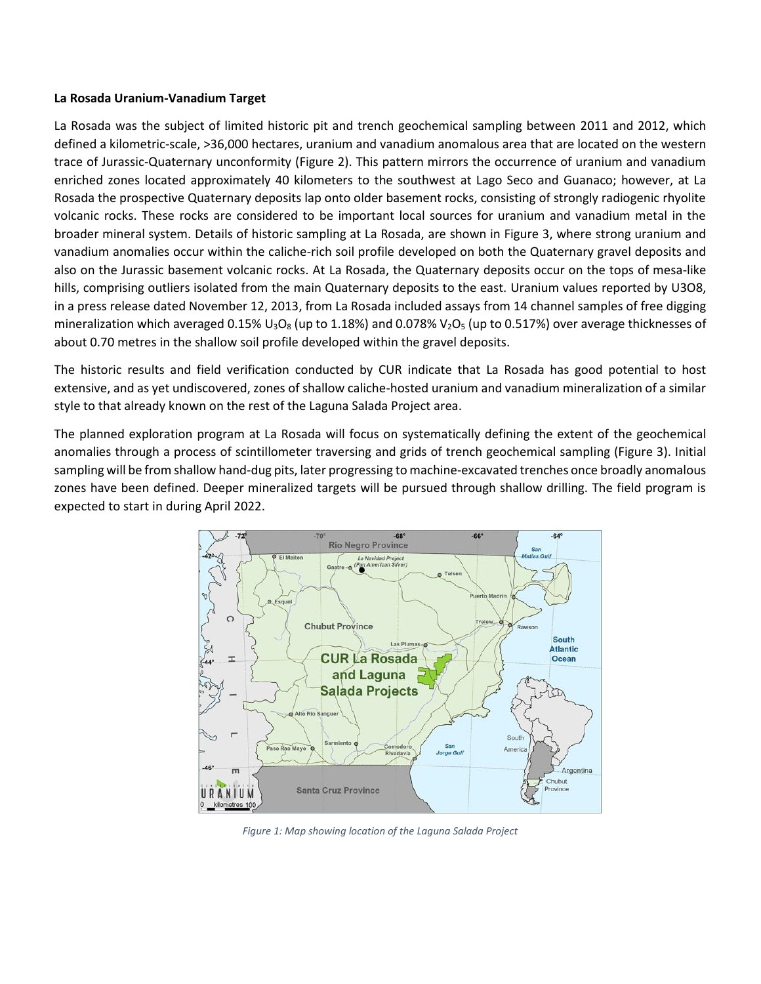#### **La Rosada Uranium-Vanadium Target**

La Rosada was the subject of limited historic pit and trench geochemical sampling between 2011 and 2012, which defined a kilometric-scale, >36,000 hectares, uranium and vanadium anomalous area that are located on the western trace of Jurassic-Quaternary unconformity (Figure 2). This pattern mirrors the occurrence of uranium and vanadium enriched zones located approximately 40 kilometers to the southwest at Lago Seco and Guanaco; however, at La Rosada the prospective Quaternary deposits lap onto older basement rocks, consisting of strongly radiogenic rhyolite volcanic rocks. These rocks are considered to be important local sources for uranium and vanadium metal in the broader mineral system. Details of historic sampling at La Rosada, are shown in Figure 3, where strong uranium and vanadium anomalies occur within the caliche-rich soil profile developed on both the Quaternary gravel deposits and also on the Jurassic basement volcanic rocks. At La Rosada, the Quaternary deposits occur on the tops of mesa-like hills, comprising outliers isolated from the main Quaternary deposits to the east. Uranium values reported by U3O8, in a press release dated November 12, 2013, from La Rosada included assays from 14 channel samples of free digging mineralization which averaged 0.15% U<sub>3</sub>O<sub>8</sub> (up to 1.18%) and 0.078% V<sub>2</sub>O<sub>5</sub> (up to 0.517%) over average thicknesses of about 0.70 metres in the shallow soil profile developed within the gravel deposits.

The historic results and field verification conducted by CUR indicate that La Rosada has good potential to host extensive, and as yet undiscovered, zones of shallow caliche-hosted uranium and vanadium mineralization of a similar style to that already known on the rest of the Laguna Salada Project area.

The planned exploration program at La Rosada will focus on systematically defining the extent of the geochemical anomalies through a process of scintillometer traversing and grids of trench geochemical sampling (Figure 3). Initial sampling will be from shallow hand-dug pits, later progressing to machine-excavated trenches once broadly anomalous zones have been defined. Deeper mineralized targets will be pursued through shallow drilling. The field program is expected to start in during April 2022.



*Figure 1: Map showing location of the Laguna Salada Project*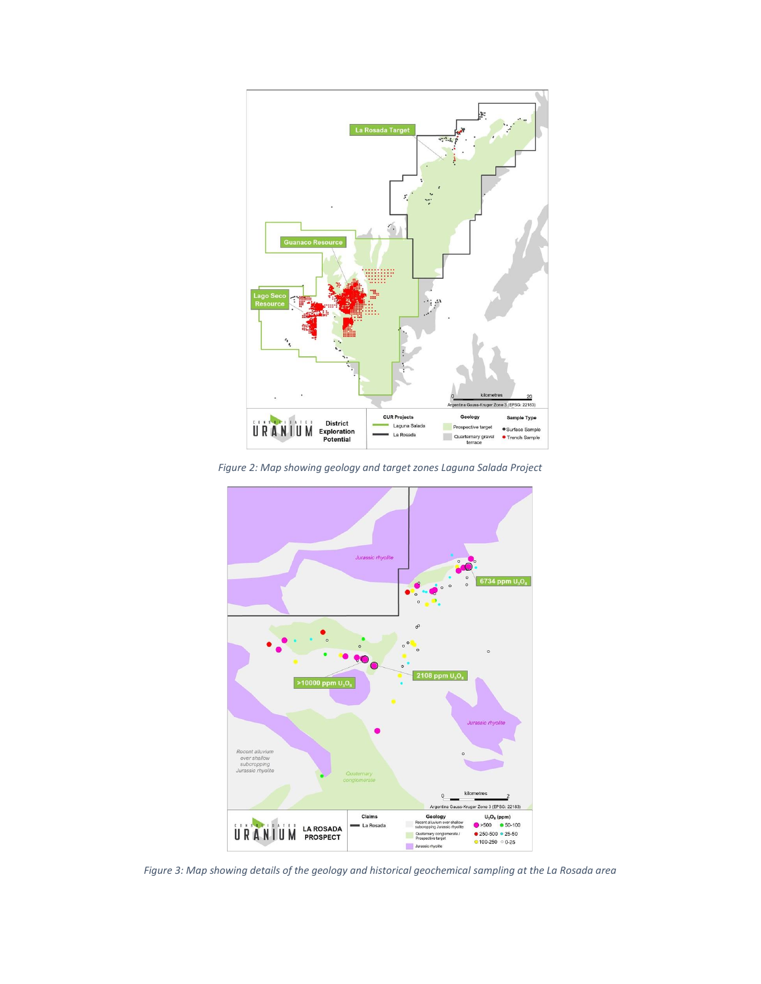

*Figure 2: Map showing geology and target zones Laguna Salada Project*



*Figure 3: Map showing details of the geology and historical geochemical sampling at the La Rosada area*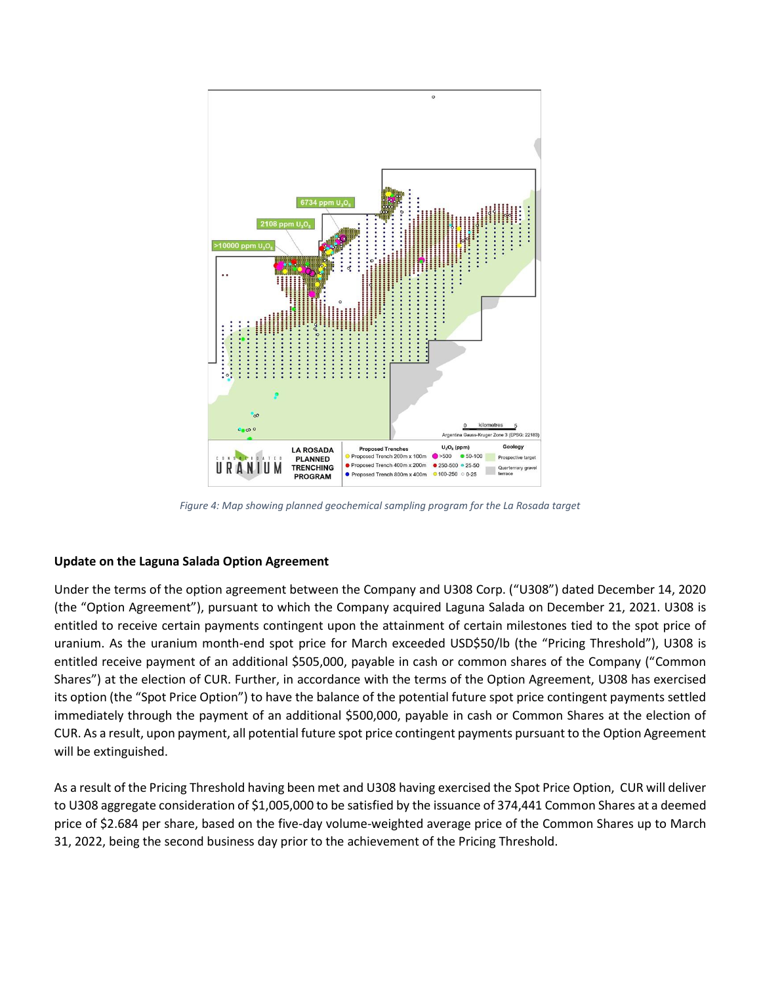

*Figure 4: Map showing planned geochemical sampling program for the La Rosada target*

#### **Update on the Laguna Salada Option Agreement**

Under the terms of the option agreement between the Company and U308 Corp. ("U308") dated December 14, 2020 (the "Option Agreement"), pursuant to which the Company acquired Laguna Salada on December 21, 2021. U308 is entitled to receive certain payments contingent upon the attainment of certain milestones tied to the spot price of uranium. As the uranium month-end spot price for March exceeded USD\$50/lb (the "Pricing Threshold"), U308 is entitled receive payment of an additional \$505,000, payable in cash or common shares of the Company ("Common Shares") at the election of CUR. Further, in accordance with the terms of the Option Agreement, U308 has exercised its option (the "Spot Price Option") to have the balance of the potential future spot price contingent payments settled immediately through the payment of an additional \$500,000, payable in cash or Common Shares at the election of CUR. As a result, upon payment, all potential future spot price contingent payments pursuant to the Option Agreement will be extinguished.

As a result of the Pricing Threshold having been met and U308 having exercised the Spot Price Option, CUR will deliver to U308 aggregate consideration of \$1,005,000 to be satisfied by the issuance of 374,441 Common Shares at a deemed price of \$2.684 per share, based on the five-day volume-weighted average price of the Common Shares up to March 31, 2022, being the second business day prior to the achievement of the Pricing Threshold.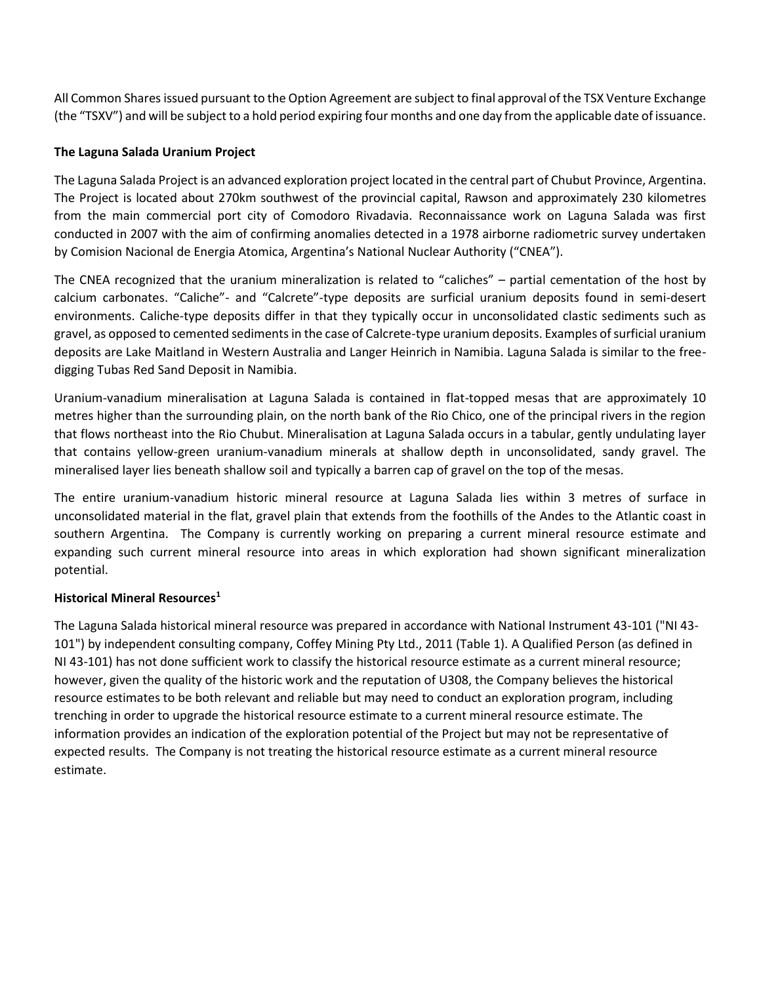All Common Shares issued pursuant to the Option Agreement are subject to final approval of the TSX Venture Exchange (the "TSXV") and will be subject to a hold period expiring four months and one day from the applicable date of issuance.

#### **The Laguna Salada Uranium Project**

The Laguna Salada Project is an advanced exploration project located in the central part of Chubut Province, Argentina. The Project is located about 270km southwest of the provincial capital, Rawson and approximately 230 kilometres from the main commercial port city of Comodoro Rivadavia. Reconnaissance work on Laguna Salada was first conducted in 2007 with the aim of confirming anomalies detected in a 1978 airborne radiometric survey undertaken by Comision Nacional de Energia Atomica, Argentina's National Nuclear Authority ("CNEA").

The CNEA recognized that the uranium mineralization is related to "caliches" – partial cementation of the host by calcium carbonates. "Caliche"- and "Calcrete"-type deposits are surficial uranium deposits found in semi-desert environments. Caliche-type deposits differ in that they typically occur in unconsolidated clastic sediments such as gravel, as opposed to cemented sediments in the case of Calcrete-type uranium deposits. Examples of surficial uranium deposits are Lake Maitland in Western Australia and Langer Heinrich in Namibia. Laguna Salada is similar to the freedigging Tubas Red Sand Deposit in Namibia.

Uranium-vanadium mineralisation at Laguna Salada is contained in flat-topped mesas that are approximately 10 metres higher than the surrounding plain, on the north bank of the Rio Chico, one of the principal rivers in the region that flows northeast into the Rio Chubut. Mineralisation at Laguna Salada occurs in a tabular, gently undulating layer that contains yellow-green uranium-vanadium minerals at shallow depth in unconsolidated, sandy gravel. The mineralised layer lies beneath shallow soil and typically a barren cap of gravel on the top of the mesas.

The entire uranium-vanadium historic mineral resource at Laguna Salada lies within 3 metres of surface in unconsolidated material in the flat, gravel plain that extends from the foothills of the Andes to the Atlantic coast in southern Argentina. The Company is currently working on preparing a current mineral resource estimate and expanding such current mineral resource into areas in which exploration had shown significant mineralization potential.

## **Historical Mineral Resources<sup>1</sup>**

The Laguna Salada historical mineral resource was prepared in accordance with National Instrument 43-101 ("NI 43- 101") by independent consulting company, Coffey Mining Pty Ltd., 2011 (Table 1). A Qualified Person (as defined in NI 43-101) has not done sufficient work to classify the historical resource estimate as a current mineral resource; however, given the quality of the historic work and the reputation of U308, the Company believes the historical resource estimates to be both relevant and reliable but may need to conduct an exploration program, including trenching in order to upgrade the historical resource estimate to a current mineral resource estimate. The information provides an indication of the exploration potential of the Project but may not be representative of expected results. The Company is not treating the historical resource estimate as a current mineral resource estimate.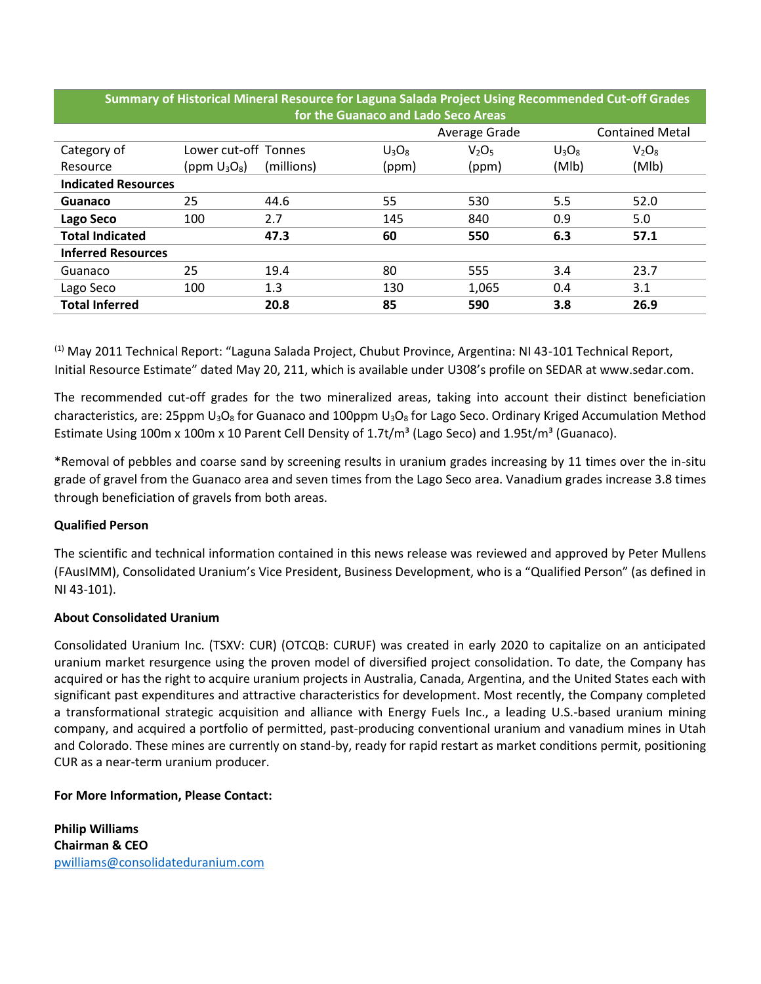| TUI THE QUAHALO AHU LAUD SELU ATEAS |                      |            |          |                               |          |                        |  |
|-------------------------------------|----------------------|------------|----------|-------------------------------|----------|------------------------|--|
|                                     |                      |            |          | Average Grade                 |          | <b>Contained Metal</b> |  |
| Category of                         | Lower cut-off Tonnes |            | $U_3O_8$ | V <sub>2</sub> O <sub>5</sub> | $U_3O_8$ | $V_2O_8$               |  |
| Resource                            | (ppm $U_3O_8$ )      | (millions) | (ppm)    | (ppm)                         | (Mlb)    | (Mlb)                  |  |
| <b>Indicated Resources</b>          |                      |            |          |                               |          |                        |  |
| Guanaco                             | 25                   | 44.6       | 55       | 530                           | 5.5      | 52.0                   |  |
| Lago Seco                           | 100                  | 2.7        | 145      | 840                           | 0.9      | 5.0                    |  |
| <b>Total Indicated</b>              |                      | 47.3       | 60       | 550                           | 6.3      | 57.1                   |  |
| <b>Inferred Resources</b>           |                      |            |          |                               |          |                        |  |
| Guanaco                             | 25                   | 19.4       | 80       | 555                           | 3.4      | 23.7                   |  |
| Lago Seco                           | 100                  | 1.3        | 130      | 1,065                         | 0.4      | 3.1                    |  |
| <b>Total Inferred</b>               |                      | 20.8       | 85       | 590                           | 3.8      | 26.9                   |  |

**Summary of Historical Mineral Resource for Laguna Salada Project Using Recommended Cut-off Grades for the Guanaco and Lado Seco Areas**

<sup>(1)</sup> May 2011 Technical Report: "Laguna Salada Project, Chubut Province, Argentina: NI 43-101 Technical Report, Initial Resource Estimate" dated May 20, 211, which is available under U308's profile on SEDAR at www.sedar.com.

The recommended cut-off grades for the two mineralized areas, taking into account their distinct beneficiation characteristics, are: 25ppm  $U_3O_8$  for Guanaco and 100ppm  $U_3O_8$  for Lago Seco. Ordinary Kriged Accumulation Method Estimate Using 100m x 100m x 10 Parent Cell Density of 1.7t/m<sup>3</sup> (Lago Seco) and 1.95t/m<sup>3</sup> (Guanaco).

\*Removal of pebbles and coarse sand by screening results in uranium grades increasing by 11 times over the in-situ grade of gravel from the Guanaco area and seven times from the Lago Seco area. Vanadium grades increase 3.8 times through beneficiation of gravels from both areas.

## **Qualified Person**

The scientific and technical information contained in this news release was reviewed and approved by Peter Mullens (FAusIMM), Consolidated Uranium's Vice President, Business Development, who is a "Qualified Person" (as defined in NI 43-101).

## **About Consolidated Uranium**

Consolidated Uranium Inc. (TSXV: CUR) (OTCQB: CURUF) was created in early 2020 to capitalize on an anticipated uranium market resurgence using the proven model of diversified project consolidation. To date, the Company has acquired or has the right to acquire uranium projects in Australia, Canada, Argentina, and the United States each with significant past expenditures and attractive characteristics for development. Most recently, the Company completed a transformational strategic acquisition and alliance with Energy Fuels Inc., a leading U.S.-based uranium mining company, and acquired a portfolio of permitted, past-producing conventional uranium and vanadium mines in Utah and Colorado. These mines are currently on stand-by, ready for rapid restart as market conditions permit, positioning CUR as a near-term uranium producer.

## **For More Information, Please Contact:**

**Philip Williams Chairman & CEO** [pwilliams@consolidateduranium.com](mailto:pwilliams@consolidateduranium.com)